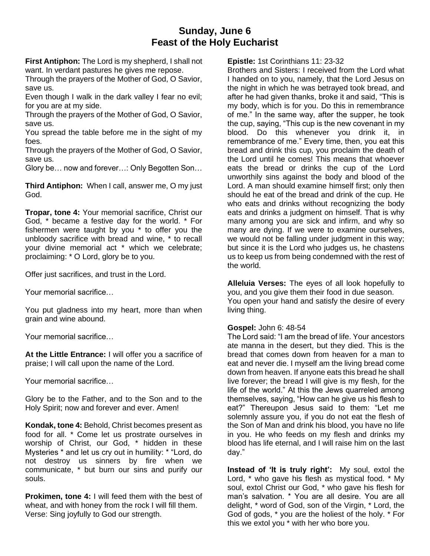## **Sunday, June 6 Feast of the Holy Eucharist**

**First Antiphon:** The Lord is my shepherd, I shall not want. In verdant pastures he gives me repose.

Through the prayers of the Mother of God, O Savior, save us.

Even though I walk in the dark valley I fear no evil; for you are at my side.

Through the prayers of the Mother of God, O Savior, save us.

You spread the table before me in the sight of my foes.

Through the prayers of the Mother of God, O Savior, save us.

Glory be… now and forever…: Only Begotten Son…

**Third Antiphon:** When I call, answer me, O my just God.

**Tropar, tone 4:** Your memorial sacrifice, Christ our God, \* became a festive day for the world. \* For fishermen were taught by you \* to offer you the unbloody sacrifice with bread and wine, \* to recall your divine memorial act \* which we celebrate; proclaiming: \* O Lord, glory be to you.

Offer just sacrifices, and trust in the Lord.

Your memorial sacrifice…

You put gladness into my heart, more than when grain and wine abound.

Your memorial sacrifice…

**At the Little Entrance:** I will offer you a sacrifice of praise; I will call upon the name of the Lord.

Your memorial sacrifice…

Glory be to the Father, and to the Son and to the Holy Spirit; now and forever and ever. Amen!

**Kondak, tone 4:** Behold, Christ becomes present as food for all. \* Come let us prostrate ourselves in worship of Christ, our God, \* hidden in these Mysteries \* and let us cry out in humility: \* "Lord, do not destroy us sinners by fire when we communicate, \* but burn our sins and purify our souls.

**Prokimen, tone 4:** I will feed them with the best of wheat, and with honey from the rock I will fill them. Verse: Sing joyfully to God our strength.

**Epistle:** 1st Corinthians 11: 23-32

Brothers and Sisters: I received from the Lord what I handed on to you, namely, that the Lord Jesus on the night in which he was betrayed took bread, and after he had given thanks, broke it and said, "This is my body, which is for you. Do this in remembrance of me." In the same way, after the supper, he took the cup, saying, "This cup is the new covenant in my blood. Do this whenever you drink it, in remembrance of me." Every time, then, you eat this bread and drink this cup, you proclaim the death of the Lord until he comes! This means that whoever eats the bread or drinks the cup of the Lord unworthily sins against the body and blood of the Lord. A man should examine himself first; only then should he eat of the bread and drink of the cup. He who eats and drinks without recognizing the body eats and drinks a judgment on himself. That is why many among you are sick and infirm, and why so many are dying. If we were to examine ourselves, we would not be falling under judgment in this way; but since it is the Lord who judges us, he chastens us to keep us from being condemned with the rest of the world.

**Alleluia Verses:** The eyes of all look hopefully to you, and you give them their food in due season. You open your hand and satisfy the desire of every living thing.

## **Gospel:** John 6: 48-54

The Lord said: "I am the bread of life. Your ancestors ate manna in the desert, but they died. This is the bread that comes down from heaven for a man to eat and never die. I myself am the living bread come down from heaven. If anyone eats this bread he shall live forever; the bread I will give is my flesh, for the life of the world." At this the Jews quarreled among themselves, saying, "How can he give us his flesh to eat?" Thereupon Jesus said to them: "Let me solemnly assure you, if you do not eat the flesh of the Son of Man and drink his blood, you have no life in you. He who feeds on my flesh and drinks my blood has life eternal, and I will raise him on the last day."

**Instead of 'It is truly right':** My soul, extol the Lord, \* who gave his flesh as mystical food. \* My soul, extol Christ our God, \* who gave his flesh for man's salvation. \* You are all desire. You are all delight, \* word of God, son of the Virgin, \* Lord, the God of gods, \* you are the holiest of the holy. \* For this we extol you \* with her who bore you.